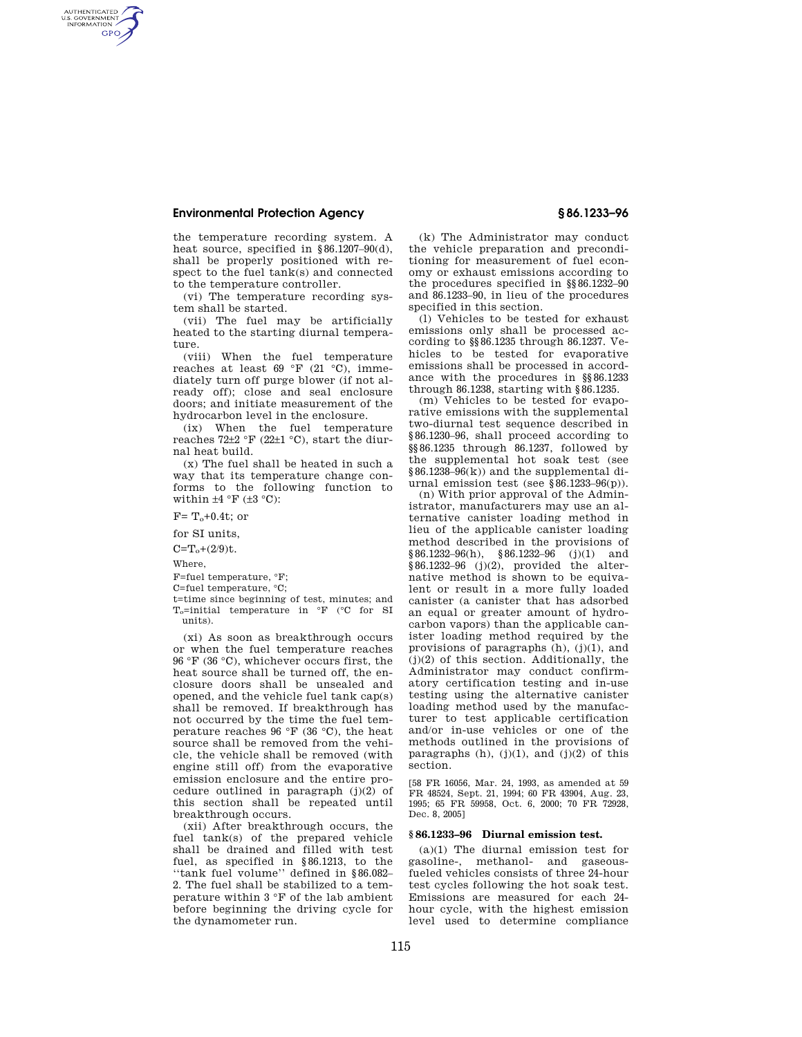## **Environmental Protection Agency § 86.1233–96**

the temperature recording system. A heat source, specified in §86.1207–90(d), shall be properly positioned with respect to the fuel tank(s) and connected to the temperature controller.

(vi) The temperature recording system shall be started.

(vii) The fuel may be artificially heated to the starting diurnal temperature.

(viii) When the fuel temperature reaches at least 69 °F (21 °C), immediately turn off purge blower (if not already off); close and seal enclosure doors; and initiate measurement of the hydrocarbon level in the enclosure.

(ix) When the fuel temperature reaches  $72\pm2~\text{F}$  (22 $\pm1~\text{°C}$ ), start the diurnal heat build.

(x) The fuel shall be heated in such a way that its temperature change conforms to the following function to within  $\pm 4$  °F ( $\pm 3$  °C):

 $F=T_o+0.4t$ ; or

for SI units,

 $C=T_o+(2/9)t.$ 

Where,

AUTHENTICATED<br>U.S. GOVERNMENT<br>INFORMATION **GPO** 

F=fuel temperature, °F;

C=fuel temperature, °C;

t=time since beginning of test, minutes; and  $\mathcal{T}_\text{o}=$  initial temperature in  $\,^\circ\!\mathcal{F}\,$  (°C for SI units).

(xi) As soon as breakthrough occurs or when the fuel temperature reaches 96 °F (36 °C), whichever occurs first, the heat source shall be turned off, the enclosure doors shall be unsealed and opened, and the vehicle fuel tank cap(s) shall be removed. If breakthrough has not occurred by the time the fuel temperature reaches 96 °F (36 °C), the heat source shall be removed from the vehicle, the vehicle shall be removed (with engine still off) from the evaporative emission enclosure and the entire procedure outlined in paragraph (j)(2) of this section shall be repeated until breakthrough occurs.

(xii) After breakthrough occurs, the fuel tank(s) of the prepared vehicle shall be drained and filled with test fuel, as specified in §86.1213, to the ''tank fuel volume'' defined in §86.082– 2. The fuel shall be stabilized to a temperature within 3 °F of the lab ambient before beginning the driving cycle for the dynamometer run.

(k) The Administrator may conduct the vehicle preparation and preconditioning for measurement of fuel economy or exhaust emissions according to the procedures specified in §§86.1232–90 and 86.1233–90, in lieu of the procedures specified in this section.

(l) Vehicles to be tested for exhaust emissions only shall be processed according to §§86.1235 through 86.1237. Vehicles to be tested for evaporative emissions shall be processed in accordance with the procedures in §§86.1233 through 86.1238, starting with §86.1235.

(m) Vehicles to be tested for evaporative emissions with the supplemental two-diurnal test sequence described in §86.1230–96, shall proceed according to §§86.1235 through 86.1237, followed by the supplemental hot soak test (see §86.1238–96(k)) and the supplemental diurnal emission test (see §86.1233–96(p)).

(n) With prior approval of the Administrator, manufacturers may use an alternative canister loading method in lieu of the applicable canister loading method described in the provisions of  $§86.1232-96(h), \quad §86.1232-96 \quad (j)(1) \quad \text{and}$  $§86.1232-96$  (j)(2), provided the alternative method is shown to be equivalent or result in a more fully loaded canister (a canister that has adsorbed an equal or greater amount of hydrocarbon vapors) than the applicable canister loading method required by the provisions of paragraphs  $(h)$ ,  $(j)(1)$ , and (j)(2) of this section. Additionally, the Administrator may conduct confirmatory certification testing and in-use testing using the alternative canister loading method used by the manufacturer to test applicable certification and/or in-use vehicles or one of the methods outlined in the provisions of paragraphs  $(h)$ ,  $(j)(1)$ , and  $(j)(2)$  of this section.

[58 FR 16056, Mar. 24, 1993, as amended at 59 FR 48524, Sept. 21, 1994; 60 FR 43904, Aug. 23, 1995; 65 FR 59958, Oct. 6, 2000; 70 FR 72928, Dec. 8, 2005]

## **§ 86.1233–96 Diurnal emission test.**

(a)(1) The diurnal emission test for gasoline-, methanol- and gaseousfueled vehicles consists of three 24-hour test cycles following the hot soak test. Emissions are measured for each 24 hour cycle, with the highest emission level used to determine compliance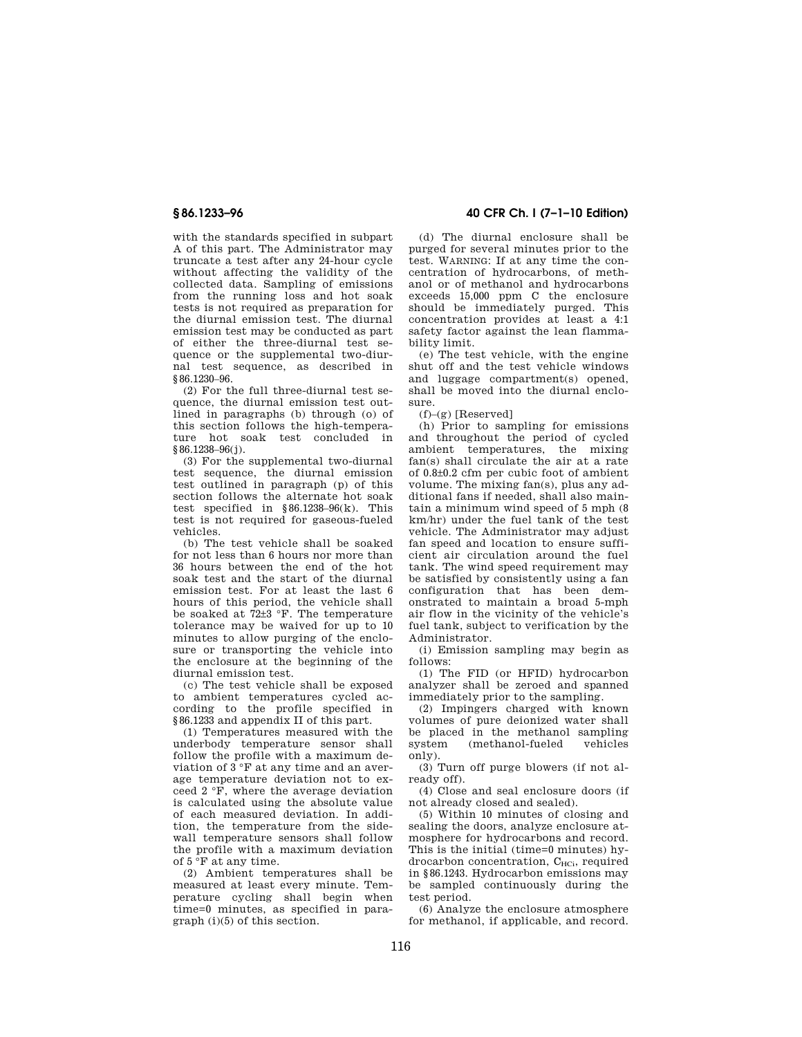with the standards specified in subpart A of this part. The Administrator may truncate a test after any 24-hour cycle without affecting the validity of the collected data. Sampling of emissions from the running loss and hot soak tests is not required as preparation for the diurnal emission test. The diurnal emission test may be conducted as part of either the three-diurnal test sequence or the supplemental two-diurnal test sequence, as described in §86.1230–96.

(2) For the full three-diurnal test sequence, the diurnal emission test outlined in paragraphs (b) through (o) of this section follows the high-temperature hot soak test concluded in §86.1238–96(j).

(3) For the supplemental two-diurnal test sequence, the diurnal emission test outlined in paragraph (p) of this section follows the alternate hot soak test specified in §86.1238–96(k). This test is not required for gaseous-fueled vehicles.

(b) The test vehicle shall be soaked for not less than 6 hours nor more than 36 hours between the end of the hot soak test and the start of the diurnal emission test. For at least the last 6 hours of this period, the vehicle shall be soaked at 72±3 °F. The temperature tolerance may be waived for up to 10 minutes to allow purging of the enclosure or transporting the vehicle into the enclosure at the beginning of the diurnal emission test.

(c) The test vehicle shall be exposed to ambient temperatures cycled according to the profile specified in §86.1233 and appendix II of this part.

(1) Temperatures measured with the underbody temperature sensor shall follow the profile with a maximum deviation of 3 °F at any time and an average temperature deviation not to exceed 2 °F, where the average deviation is calculated using the absolute value of each measured deviation. In addition, the temperature from the sidewall temperature sensors shall follow the profile with a maximum deviation of  $5 \overline{\text{°F}}$  at any time.

(2) Ambient temperatures shall be measured at least every minute. Temperature cycling shall begin when time=0 minutes, as specified in paragraph (i)(5) of this section.

**§ 86.1233–96 40 CFR Ch. I (7–1–10 Edition)** 

(d) The diurnal enclosure shall be purged for several minutes prior to the test. WARNING: If at any time the concentration of hydrocarbons, of methanol or of methanol and hydrocarbons exceeds 15,000 ppm C the enclosure should be immediately purged. This concentration provides at least a 4:1 safety factor against the lean flammability limit.

(e) The test vehicle, with the engine shut off and the test vehicle windows and luggage compartment(s) opened, shall be moved into the diurnal enclosure.

 $(f)$ – $(g)$  [Reserved]

(h) Prior to sampling for emissions and throughout the period of cycled ambient temperatures, the mixing fan(s) shall circulate the air at a rate of 0.8±0.2 cfm per cubic foot of ambient volume. The mixing fan(s), plus any additional fans if needed, shall also maintain a minimum wind speed of 5 mph (8 km/hr) under the fuel tank of the test vehicle. The Administrator may adjust fan speed and location to ensure sufficient air circulation around the fuel tank. The wind speed requirement may be satisfied by consistently using a fan configuration that has been demonstrated to maintain a broad 5-mph air flow in the vicinity of the vehicle's fuel tank, subject to verification by the Administrator.

(i) Emission sampling may begin as follows:

(1) The FID (or HFID) hydrocarbon analyzer shall be zeroed and spanned immediately prior to the sampling.

(2) Impingers charged with known volumes of pure deionized water shall be placed in the methanol sampling<br>system (methanol-fueled vehicles (methanol-fueled only).

(3) Turn off purge blowers (if not already off).

(4) Close and seal enclosure doors (if not already closed and sealed).

(5) Within 10 minutes of closing and sealing the doors, analyze enclosure atmosphere for hydrocarbons and record. This is the initial (time=0 minutes) hydrocarbon concentration, C<sub>HCi</sub>, required in §86.1243. Hydrocarbon emissions may be sampled continuously during the test period.

(6) Analyze the enclosure atmosphere for methanol, if applicable, and record.